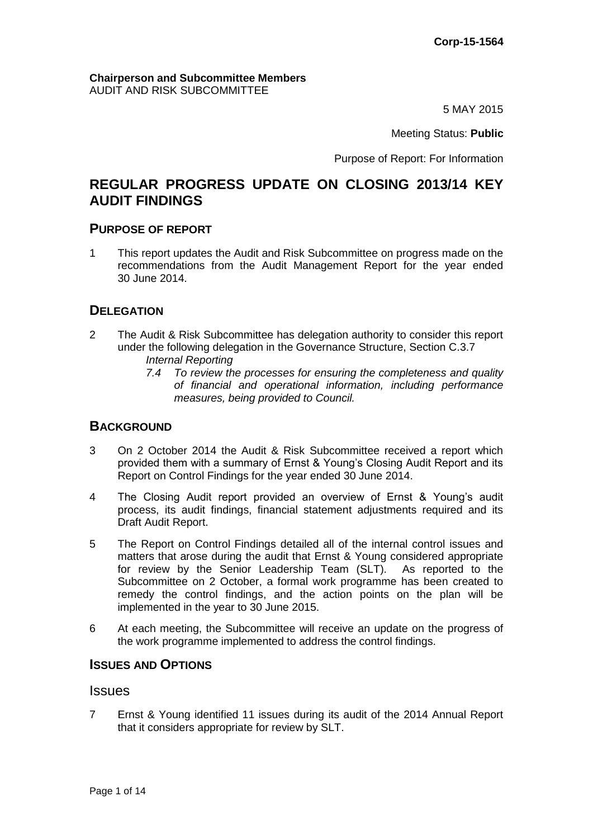#### **Chairperson and Subcommittee Members** AUDIT AND RISK SUBCOMMITTEE

5 MAY 2015

Meeting Status: **Public**

Purpose of Report: For Information

# **REGULAR PROGRESS UPDATE ON CLOSING 2013/14 KEY AUDIT FINDINGS**

## **PURPOSE OF REPORT**

1 This report updates the Audit and Risk Subcommittee on progress made on the recommendations from the Audit Management Report for the year ended 30 June 2014.

## **DELEGATION**

- 2 The Audit & Risk Subcommittee has delegation authority to consider this report under the following delegation in the Governance Structure, Section C.3.7 *Internal Reporting* 
	- *7.4 To review the processes for ensuring the completeness and quality of financial and operational information, including performance measures, being provided to Council.*

## **BACKGROUND**

- 3 On 2 October 2014 the Audit & Risk Subcommittee received a report which provided them with a summary of Ernst & Young's Closing Audit Report and its Report on Control Findings for the year ended 30 June 2014.
- 4 The Closing Audit report provided an overview of Ernst & Young's audit process, its audit findings, financial statement adjustments required and its Draft Audit Report.
- 5 The Report on Control Findings detailed all of the internal control issues and matters that arose during the audit that Ernst & Young considered appropriate for review by the Senior Leadership Team (SLT). As reported to the Subcommittee on 2 October, a formal work programme has been created to remedy the control findings, and the action points on the plan will be implemented in the year to 30 June 2015.
- 6 At each meeting, the Subcommittee will receive an update on the progress of the work programme implemented to address the control findings.

## **ISSUES AND OPTIONS**

#### Issues

7 Ernst & Young identified 11 issues during its audit of the 2014 Annual Report that it considers appropriate for review by SLT.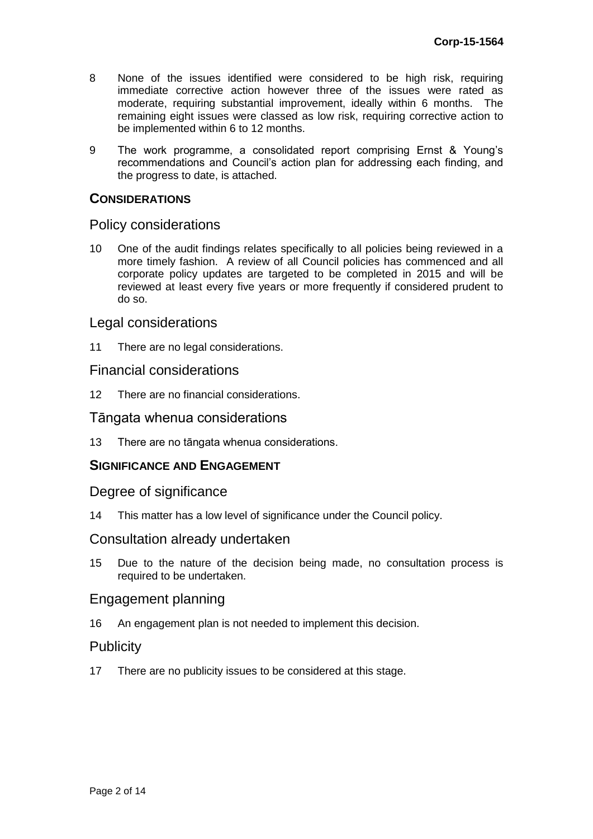- 8 None of the issues identified were considered to be high risk, requiring immediate corrective action however three of the issues were rated as moderate, requiring substantial improvement, ideally within 6 months. The remaining eight issues were classed as low risk, requiring corrective action to be implemented within 6 to 12 months.
- 9 The work programme, a consolidated report comprising Ernst & Young's recommendations and Council's action plan for addressing each finding, and the progress to date, is attached.

### **CONSIDERATIONS**

#### Policy considerations

10 One of the audit findings relates specifically to all policies being reviewed in a more timely fashion. A review of all Council policies has commenced and all corporate policy updates are targeted to be completed in 2015 and will be reviewed at least every five years or more frequently if considered prudent to do so.

#### Legal considerations

11 There are no legal considerations.

#### Financial considerations

12 There are no financial considerations.

#### Tāngata whenua considerations

13 There are no tāngata whenua considerations.

#### **SIGNIFICANCE AND ENGAGEMENT**

#### Degree of significance

14 This matter has a low level of significance under the Council policy.

#### Consultation already undertaken

15 Due to the nature of the decision being made, no consultation process is required to be undertaken.

#### Engagement planning

16 An engagement plan is not needed to implement this decision.

#### **Publicity**

17 There are no publicity issues to be considered at this stage.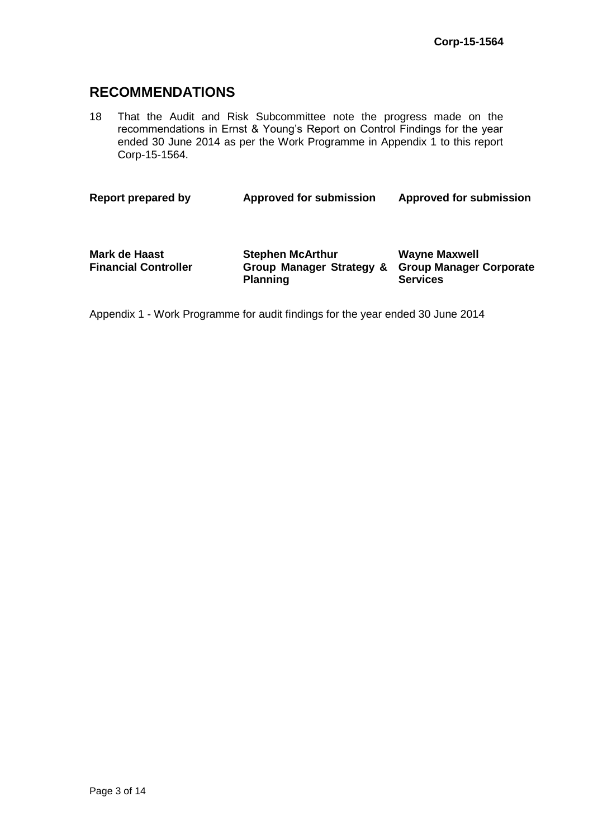# **RECOMMENDATIONS**

18 That the Audit and Risk Subcommittee note the progress made on the recommendations in Ernst & Young's Report on Control Findings for the year ended 30 June 2014 as per the Work Programme in Appendix 1 to this report Corp-15-1564.

**Report prepared by Approved for submission Approved for submission**

| Mark de Haast<br><b>Financial Controller</b> | <b>Stephen McArthur</b><br>Group Manager Strategy & Group Manager Corporate<br><b>Planning</b> | <b>Wayne Maxwell</b><br><b>Services</b> |
|----------------------------------------------|------------------------------------------------------------------------------------------------|-----------------------------------------|
|                                              |                                                                                                |                                         |

Appendix 1 - Work Programme for audit findings for the year ended 30 June 2014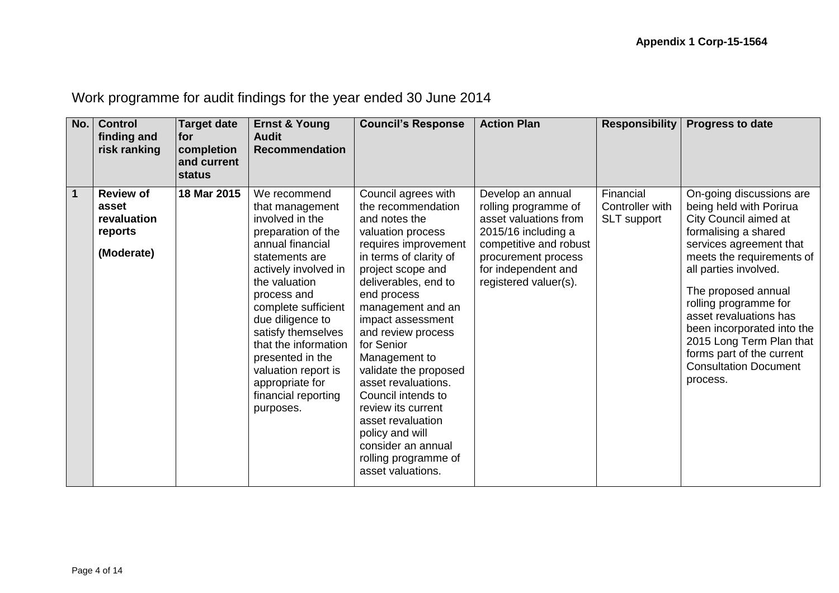Work programme for audit findings for the year ended 30 June 2014

| No.         | <b>Control</b><br>finding and<br>risk ranking                     | <b>Target date</b><br><b>Ifor</b><br>completion<br>and current<br><b>status</b> | <b>Ernst &amp; Young</b><br><b>Audit</b><br><b>Recommendation</b>                                                                                                                                                                                                                                                                                                 | <b>Council's Response</b>                                                                                                                                                                                                                                                                                                                                                                                                                                                                           | <b>Action Plan</b>                                                                                                                                                                         | <b>Responsibility</b>                       | <b>Progress to date</b>                                                                                                                                                                                                                                                                                                                                                                            |
|-------------|-------------------------------------------------------------------|---------------------------------------------------------------------------------|-------------------------------------------------------------------------------------------------------------------------------------------------------------------------------------------------------------------------------------------------------------------------------------------------------------------------------------------------------------------|-----------------------------------------------------------------------------------------------------------------------------------------------------------------------------------------------------------------------------------------------------------------------------------------------------------------------------------------------------------------------------------------------------------------------------------------------------------------------------------------------------|--------------------------------------------------------------------------------------------------------------------------------------------------------------------------------------------|---------------------------------------------|----------------------------------------------------------------------------------------------------------------------------------------------------------------------------------------------------------------------------------------------------------------------------------------------------------------------------------------------------------------------------------------------------|
| $\mathbf 1$ | <b>Review of</b><br>asset<br>revaluation<br>reports<br>(Moderate) | 18 Mar 2015                                                                     | We recommend<br>that management<br>involved in the<br>preparation of the<br>annual financial<br>statements are<br>actively involved in<br>the valuation<br>process and<br>complete sufficient<br>due diligence to<br>satisfy themselves<br>that the information<br>presented in the<br>valuation report is<br>appropriate for<br>financial reporting<br>purposes. | Council agrees with<br>the recommendation<br>and notes the<br>valuation process<br>requires improvement<br>in terms of clarity of<br>project scope and<br>deliverables, end to<br>end process<br>management and an<br>impact assessment<br>and review process<br>for Senior<br>Management to<br>validate the proposed<br>asset revaluations.<br>Council intends to<br>review its current<br>asset revaluation<br>policy and will<br>consider an annual<br>rolling programme of<br>asset valuations. | Develop an annual<br>rolling programme of<br>asset valuations from<br>2015/16 including a<br>competitive and robust<br>procurement process<br>for independent and<br>registered valuer(s). | Financial<br>Controller with<br>SLT support | On-going discussions are<br>being held with Porirua<br>City Council aimed at<br>formalising a shared<br>services agreement that<br>meets the requirements of<br>all parties involved.<br>The proposed annual<br>rolling programme for<br>asset revaluations has<br>been incorporated into the<br>2015 Long Term Plan that<br>forms part of the current<br><b>Consultation Document</b><br>process. |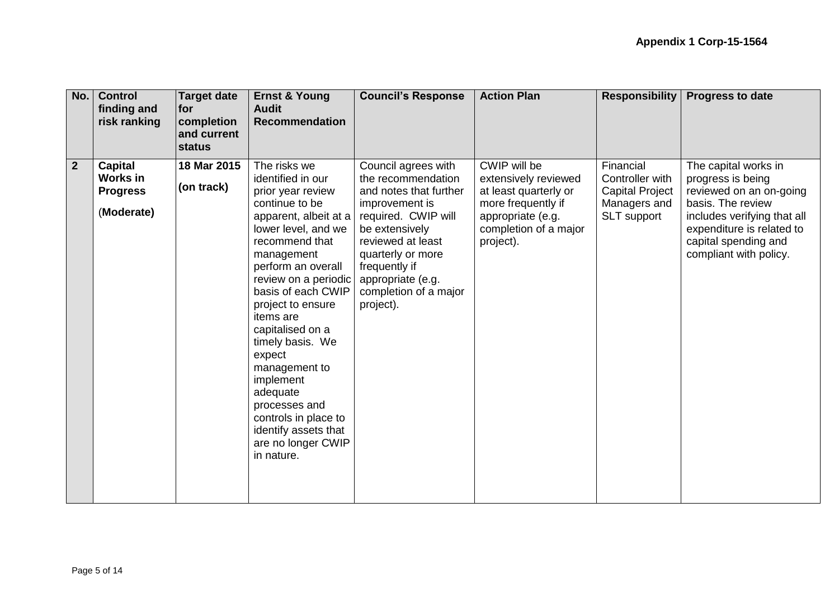| No.            | <b>Control</b><br>finding and<br>risk ranking               | <b>Target date</b><br> for<br>completion<br>and current<br>status | <b>Ernst &amp; Young</b><br><b>Audit</b><br><b>Recommendation</b>                                                                                                                                                                                                                                                                                                                                                                                               | <b>Council's Response</b>                                                                                                                                                                                                                            | <b>Action Plan</b>                                                                                                                             | <b>Responsibility</b>                                                                 | <b>Progress to date</b>                                                                                                                                                                                 |
|----------------|-------------------------------------------------------------|-------------------------------------------------------------------|-----------------------------------------------------------------------------------------------------------------------------------------------------------------------------------------------------------------------------------------------------------------------------------------------------------------------------------------------------------------------------------------------------------------------------------------------------------------|------------------------------------------------------------------------------------------------------------------------------------------------------------------------------------------------------------------------------------------------------|------------------------------------------------------------------------------------------------------------------------------------------------|---------------------------------------------------------------------------------------|---------------------------------------------------------------------------------------------------------------------------------------------------------------------------------------------------------|
| $\overline{2}$ | <b>Capital</b><br>Works in<br><b>Progress</b><br>(Moderate) | 18 Mar 2015<br>(on track)                                         | The risks we<br>identified in our<br>prior year review<br>continue to be<br>apparent, albeit at a<br>lower level, and we<br>recommend that<br>management<br>perform an overall<br>review on a periodic<br>basis of each CWIP<br>project to ensure<br>items are<br>capitalised on a<br>timely basis. We<br>expect<br>management to<br>implement<br>adequate<br>processes and<br>controls in place to<br>identify assets that<br>are no longer CWIP<br>in nature. | Council agrees with<br>the recommendation<br>and notes that further<br>improvement is<br>required. CWIP will<br>be extensively<br>reviewed at least<br>quarterly or more<br>frequently if<br>appropriate (e.g.<br>completion of a major<br>project). | CWIP will be<br>extensively reviewed<br>at least quarterly or<br>more frequently if<br>appropriate (e.g.<br>completion of a major<br>project). | Financial<br>Controller with<br><b>Capital Project</b><br>Managers and<br>SLT support | The capital works in<br>progress is being<br>reviewed on an on-going<br>basis. The review<br>includes verifying that all<br>expenditure is related to<br>capital spending and<br>compliant with policy. |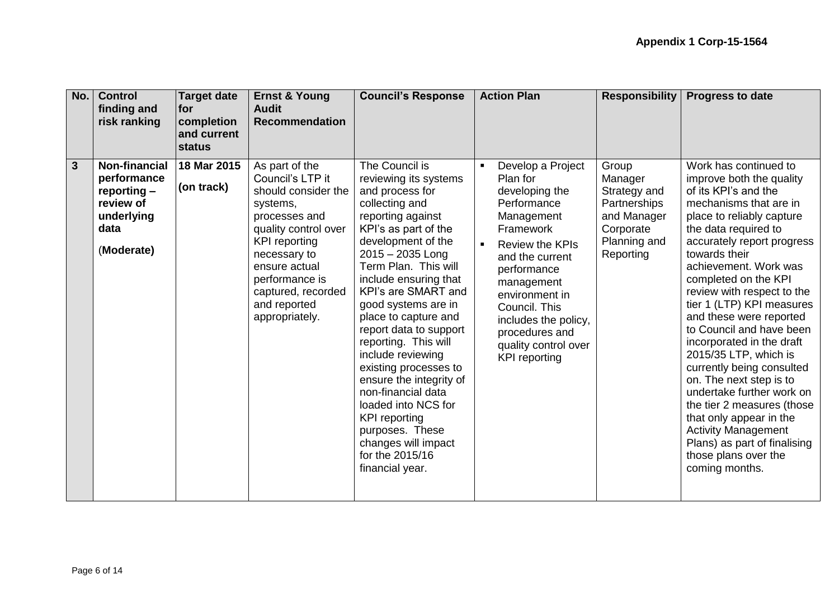| No. | <b>Control</b><br>finding and<br>risk ranking                                                         | Target date<br> for<br>completion<br>and current<br><b>status</b> | <b>Ernst &amp; Young</b><br><b>Audit</b><br><b>Recommendation</b>                                                                                                                                                                                 | <b>Council's Response</b>                                                                                                                                                                                                                                                                                                                                                                                                                                                                                                                                                    | <b>Action Plan</b>                                                                                                                                                                                                                                                                               | <b>Responsibility</b>                                                                                     | <b>Progress to date</b>                                                                                                                                                                                                                                                                                                                                                                                                                                                                                                                                                                                                                                                                |
|-----|-------------------------------------------------------------------------------------------------------|-------------------------------------------------------------------|---------------------------------------------------------------------------------------------------------------------------------------------------------------------------------------------------------------------------------------------------|------------------------------------------------------------------------------------------------------------------------------------------------------------------------------------------------------------------------------------------------------------------------------------------------------------------------------------------------------------------------------------------------------------------------------------------------------------------------------------------------------------------------------------------------------------------------------|--------------------------------------------------------------------------------------------------------------------------------------------------------------------------------------------------------------------------------------------------------------------------------------------------|-----------------------------------------------------------------------------------------------------------|----------------------------------------------------------------------------------------------------------------------------------------------------------------------------------------------------------------------------------------------------------------------------------------------------------------------------------------------------------------------------------------------------------------------------------------------------------------------------------------------------------------------------------------------------------------------------------------------------------------------------------------------------------------------------------------|
| 3   | <b>Non-financial</b><br>performance<br>reporting $-$<br>review of<br>underlying<br>data<br>(Moderate) | 18 Mar 2015<br>(on track)                                         | As part of the<br>Council's LTP it<br>should consider the<br>systems,<br>processes and<br>quality control over<br><b>KPI</b> reporting<br>necessary to<br>ensure actual<br>performance is<br>captured, recorded<br>and reported<br>appropriately. | The Council is<br>reviewing its systems<br>and process for<br>collecting and<br>reporting against<br>KPI's as part of the<br>development of the<br>$2015 - 2035$ Long<br>Term Plan. This will<br>include ensuring that<br>KPI's are SMART and<br>good systems are in<br>place to capture and<br>report data to support<br>reporting. This will<br>include reviewing<br>existing processes to<br>ensure the integrity of<br>non-financial data<br>loaded into NCS for<br><b>KPI</b> reporting<br>purposes. These<br>changes will impact<br>for the 2015/16<br>financial year. | Develop a Project<br>Plan for<br>developing the<br>Performance<br>Management<br>Framework<br><b>Review the KPIs</b><br>and the current<br>performance<br>management<br>environment in<br>Council. This<br>includes the policy,<br>procedures and<br>quality control over<br><b>KPI</b> reporting | Group<br>Manager<br>Strategy and<br>Partnerships<br>and Manager<br>Corporate<br>Planning and<br>Reporting | Work has continued to<br>improve both the quality<br>of its KPI's and the<br>mechanisms that are in<br>place to reliably capture<br>the data required to<br>accurately report progress<br>towards their<br>achievement. Work was<br>completed on the KPI<br>review with respect to the<br>tier 1 (LTP) KPI measures<br>and these were reported<br>to Council and have been<br>incorporated in the draft<br>2015/35 LTP, which is<br>currently being consulted<br>on. The next step is to<br>undertake further work on<br>the tier 2 measures (those<br>that only appear in the<br><b>Activity Management</b><br>Plans) as part of finalising<br>those plans over the<br>coming months. |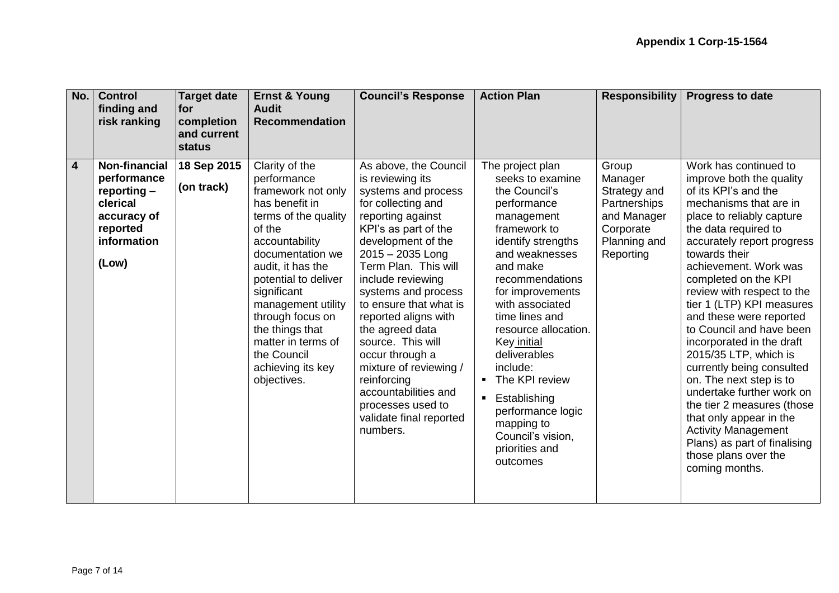| No.                     | <b>Control</b><br>finding and<br>risk ranking                                                                       | <b>Target date</b><br><b>for</b><br>completion<br>and current<br><b>status</b> | <b>Ernst &amp; Young</b><br><b>Audit</b><br><b>Recommendation</b>                                                                                                                                                                                                                                                                               | <b>Council's Response</b>                                                                                                                                                                                                                                                                                                                                                                                                                                                                     | <b>Action Plan</b>                                                                                                                                                                                                                                                                                                                                                                                                                                                | <b>Responsibility</b>                                                                                     | <b>Progress to date</b>                                                                                                                                                                                                                                                                                                                                                                                                                                                                                                                                                                                                                                                                |
|-------------------------|---------------------------------------------------------------------------------------------------------------------|--------------------------------------------------------------------------------|-------------------------------------------------------------------------------------------------------------------------------------------------------------------------------------------------------------------------------------------------------------------------------------------------------------------------------------------------|-----------------------------------------------------------------------------------------------------------------------------------------------------------------------------------------------------------------------------------------------------------------------------------------------------------------------------------------------------------------------------------------------------------------------------------------------------------------------------------------------|-------------------------------------------------------------------------------------------------------------------------------------------------------------------------------------------------------------------------------------------------------------------------------------------------------------------------------------------------------------------------------------------------------------------------------------------------------------------|-----------------------------------------------------------------------------------------------------------|----------------------------------------------------------------------------------------------------------------------------------------------------------------------------------------------------------------------------------------------------------------------------------------------------------------------------------------------------------------------------------------------------------------------------------------------------------------------------------------------------------------------------------------------------------------------------------------------------------------------------------------------------------------------------------------|
| $\overline{\mathbf{4}}$ | <b>Non-financial</b><br>performance<br>reporting $-$<br>clerical<br>accuracy of<br>reported<br>information<br>(Low) | 18 Sep 2015<br>(on track)                                                      | Clarity of the<br>performance<br>framework not only<br>has benefit in<br>terms of the quality<br>of the<br>accountability<br>documentation we<br>audit, it has the<br>potential to deliver<br>significant<br>management utility<br>through focus on<br>the things that<br>matter in terms of<br>the Council<br>achieving its key<br>objectives. | As above, the Council<br>is reviewing its<br>systems and process<br>for collecting and<br>reporting against<br>KPI's as part of the<br>development of the<br>$2015 - 2035$ Long<br>Term Plan. This will<br>include reviewing<br>systems and process<br>to ensure that what is<br>reported aligns with<br>the agreed data<br>source. This will<br>occur through a<br>mixture of reviewing /<br>reinforcing<br>accountabilities and<br>processes used to<br>validate final reported<br>numbers. | The project plan<br>seeks to examine<br>the Council's<br>performance<br>management<br>framework to<br>identify strengths<br>and weaknesses<br>and make<br>recommendations<br>for improvements<br>with associated<br>time lines and<br>resource allocation.<br>Key initial<br>deliverables<br>include:<br>The KPI review<br>$\blacksquare$<br>Establishing<br>$\blacksquare$<br>performance logic<br>mapping to<br>Council's vision,<br>priorities and<br>outcomes | Group<br>Manager<br>Strategy and<br>Partnerships<br>and Manager<br>Corporate<br>Planning and<br>Reporting | Work has continued to<br>improve both the quality<br>of its KPI's and the<br>mechanisms that are in<br>place to reliably capture<br>the data required to<br>accurately report progress<br>towards their<br>achievement. Work was<br>completed on the KPI<br>review with respect to the<br>tier 1 (LTP) KPI measures<br>and these were reported<br>to Council and have been<br>incorporated in the draft<br>2015/35 LTP, which is<br>currently being consulted<br>on. The next step is to<br>undertake further work on<br>the tier 2 measures (those<br>that only appear in the<br><b>Activity Management</b><br>Plans) as part of finalising<br>those plans over the<br>coming months. |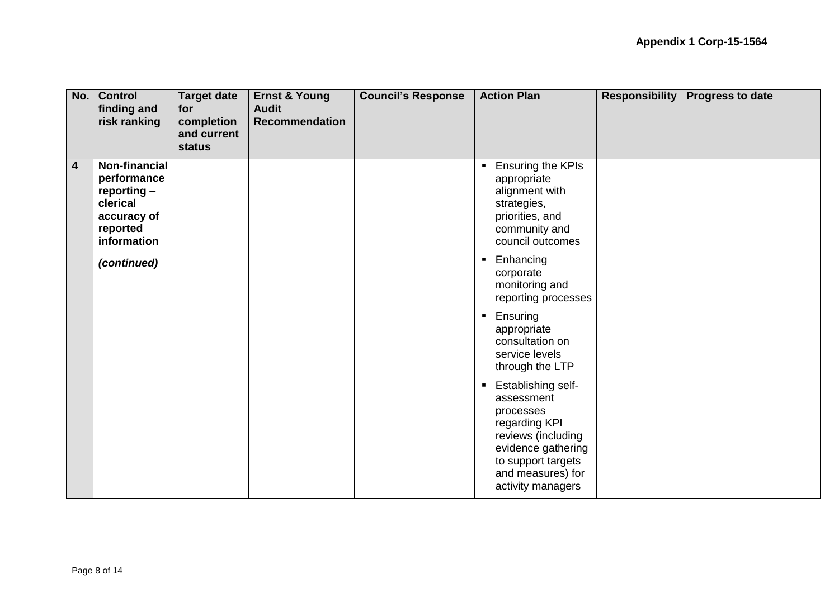| No.            | <b>Control</b><br>finding and<br>risk ranking                                                            | <b>Target date</b><br>for<br>completion<br>and current<br>status | <b>Ernst &amp; Young</b><br><b>Audit</b><br><b>Recommendation</b> | <b>Council's Response</b> | <b>Action Plan</b>                                                                                                                                                                                  | <b>Responsibility</b> | <b>Progress to date</b> |
|----------------|----------------------------------------------------------------------------------------------------------|------------------------------------------------------------------|-------------------------------------------------------------------|---------------------------|-----------------------------------------------------------------------------------------------------------------------------------------------------------------------------------------------------|-----------------------|-------------------------|
| $\overline{4}$ | <b>Non-financial</b><br>performance<br>reporting -<br>clerical<br>accuracy of<br>reported<br>information |                                                                  |                                                                   |                           | Ensuring the KPIs<br>$\blacksquare$<br>appropriate<br>alignment with<br>strategies,<br>priorities, and<br>community and<br>council outcomes                                                         |                       |                         |
|                | (continued)                                                                                              |                                                                  |                                                                   |                           | Enhancing<br>$\blacksquare$<br>corporate<br>monitoring and<br>reporting processes                                                                                                                   |                       |                         |
|                |                                                                                                          |                                                                  |                                                                   |                           | Ensuring<br>$\blacksquare$<br>appropriate<br>consultation on<br>service levels<br>through the LTP                                                                                                   |                       |                         |
|                |                                                                                                          |                                                                  |                                                                   |                           | <b>Establishing self-</b><br>$\blacksquare$<br>assessment<br>processes<br>regarding KPI<br>reviews (including<br>evidence gathering<br>to support targets<br>and measures) for<br>activity managers |                       |                         |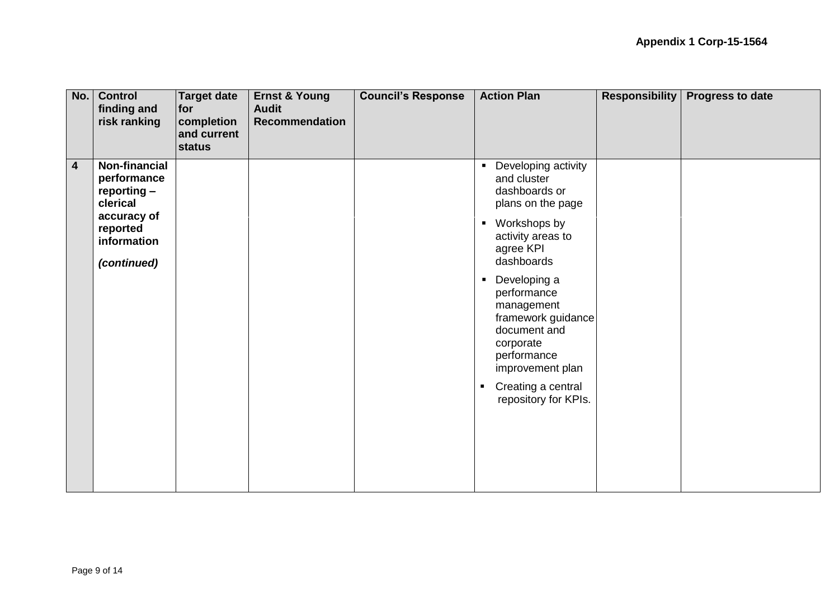| No.            | <b>Control</b><br>finding and<br>risk ranking                                                     | <b>Target date</b><br>for<br>completion<br>and current<br>status | <b>Ernst &amp; Young</b><br><b>Audit</b><br><b>Recommendation</b> | <b>Council's Response</b> | <b>Action Plan</b>                                                                                                                                                                                                | <b>Responsibility</b> | <b>Progress to date</b> |
|----------------|---------------------------------------------------------------------------------------------------|------------------------------------------------------------------|-------------------------------------------------------------------|---------------------------|-------------------------------------------------------------------------------------------------------------------------------------------------------------------------------------------------------------------|-----------------------|-------------------------|
| $\overline{4}$ | Non-financial<br>performance<br>reporting -<br>clerical<br>accuracy of<br>reported<br>information |                                                                  |                                                                   |                           | Developing activity<br>$\blacksquare$<br>and cluster<br>dashboards or<br>plans on the page<br>• Workshops by<br>activity areas to<br>agree KPI<br>dashboards                                                      |                       |                         |
|                | (continued)                                                                                       |                                                                  |                                                                   |                           | Developing a<br>$\blacksquare$<br>performance<br>management<br>framework guidance<br>document and<br>corporate<br>performance<br>improvement plan<br>Creating a central<br>$\blacksquare$<br>repository for KPIs. |                       |                         |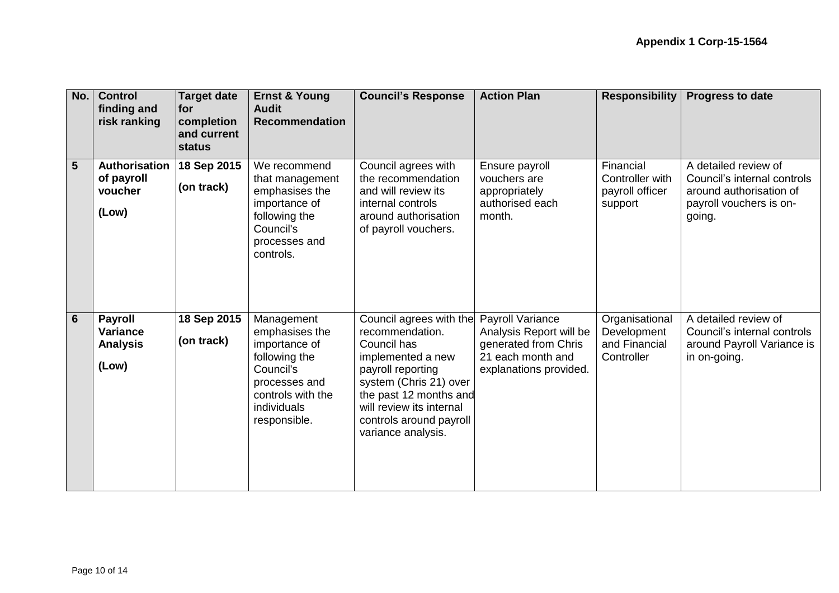| No.            | <b>Control</b><br>finding and<br>risk ranking                 | <b>Target date</b><br>for<br>completion<br>and current<br>status | <b>Ernst &amp; Young</b><br><b>Audit</b><br><b>Recommendation</b>                                                                                | <b>Council's Response</b>                                                                                                                                                                                                            | <b>Action Plan</b>                                                                                                        | <b>Responsibility</b>                                        | <b>Progress to date</b>                                                                                             |
|----------------|---------------------------------------------------------------|------------------------------------------------------------------|--------------------------------------------------------------------------------------------------------------------------------------------------|--------------------------------------------------------------------------------------------------------------------------------------------------------------------------------------------------------------------------------------|---------------------------------------------------------------------------------------------------------------------------|--------------------------------------------------------------|---------------------------------------------------------------------------------------------------------------------|
| $5\phantom{1}$ | Authorisation<br>of payroll<br>voucher<br>(Low)               | 18 Sep 2015<br>(on track)                                        | We recommend<br>that management<br>emphasises the<br>importance of<br>following the<br>Council's<br>processes and<br>controls.                   | Council agrees with<br>the recommendation<br>and will review its<br>internal controls<br>around authorisation<br>of payroll vouchers.                                                                                                | Ensure payroll<br>vouchers are<br>appropriately<br>authorised each<br>month.                                              | Financial<br>Controller with<br>payroll officer<br>support   | A detailed review of<br>Council's internal controls<br>around authorisation of<br>payroll vouchers is on-<br>going. |
| $6\phantom{1}$ | <b>Payroll</b><br><b>Variance</b><br><b>Analysis</b><br>(Low) | 18 Sep 2015<br>(on track)                                        | Management<br>emphasises the<br>importance of<br>following the<br>Council's<br>processes and<br>controls with the<br>individuals<br>responsible. | Council agrees with the<br>recommendation.<br>Council has<br>implemented a new<br>payroll reporting<br>system (Chris 21) over<br>the past 12 months and<br>will review its internal<br>controls around payroll<br>variance analysis. | <b>Payroll Variance</b><br>Analysis Report will be<br>generated from Chris<br>21 each month and<br>explanations provided. | Organisational<br>Development<br>and Financial<br>Controller | A detailed review of<br>Council's internal controls<br>around Payroll Variance is<br>in on-going.                   |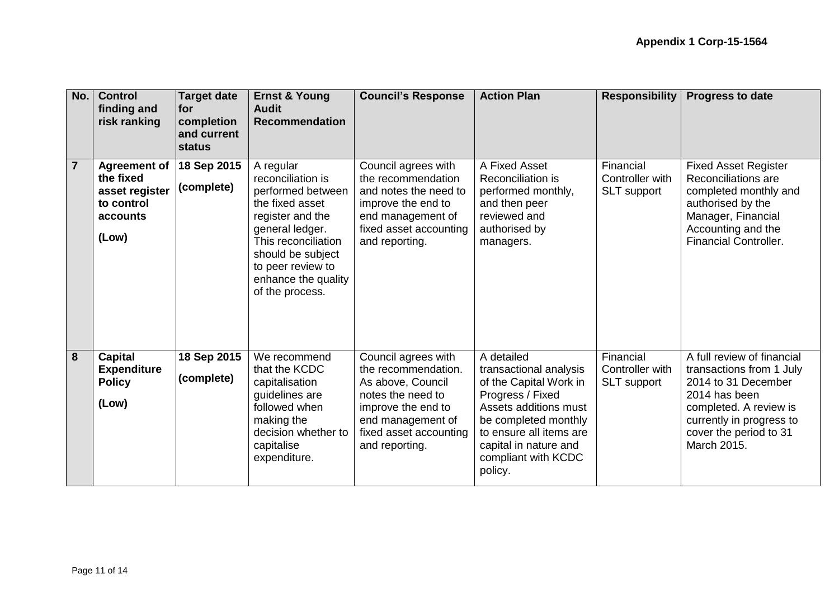| No.                     | <b>Control</b><br>finding and<br>risk ranking                                         | <b>Target date</b><br>for<br>completion<br>and current<br><b>status</b> | <b>Ernst &amp; Young</b><br><b>Audit</b><br><b>Recommendation</b>                                                                                                                                                        | <b>Council's Response</b>                                                                                                                                                   | <b>Action Plan</b>                                                                                                                                                                                                        | <b>Responsibility</b>                              | <b>Progress to date</b>                                                                                                                                                                       |
|-------------------------|---------------------------------------------------------------------------------------|-------------------------------------------------------------------------|--------------------------------------------------------------------------------------------------------------------------------------------------------------------------------------------------------------------------|-----------------------------------------------------------------------------------------------------------------------------------------------------------------------------|---------------------------------------------------------------------------------------------------------------------------------------------------------------------------------------------------------------------------|----------------------------------------------------|-----------------------------------------------------------------------------------------------------------------------------------------------------------------------------------------------|
| $\overline{7}$          | <b>Agreement of</b><br>the fixed<br>asset register<br>to control<br>accounts<br>(Low) | 18 Sep 2015<br>(complete)                                               | A regular<br>reconciliation is<br>performed between<br>the fixed asset<br>register and the<br>general ledger.<br>This reconciliation<br>should be subject<br>to peer review to<br>enhance the quality<br>of the process. | Council agrees with<br>the recommendation<br>and notes the need to<br>improve the end to<br>end management of<br>fixed asset accounting<br>and reporting.                   | A Fixed Asset<br>Reconciliation is<br>performed monthly,<br>and then peer<br>reviewed and<br>authorised by<br>managers.                                                                                                   | Financial<br>Controller with<br><b>SLT</b> support | <b>Fixed Asset Register</b><br>Reconciliations are<br>completed monthly and<br>authorised by the<br>Manager, Financial<br>Accounting and the<br><b>Financial Controller.</b>                  |
| $\overline{\mathbf{8}}$ | <b>Capital</b><br><b>Expenditure</b><br><b>Policy</b><br>(Low)                        | 18 Sep 2015<br>(complete)                                               | We recommend<br>that the KCDC<br>capitalisation<br>quidelines are<br>followed when<br>making the<br>decision whether to<br>capitalise<br>expenditure.                                                                    | Council agrees with<br>the recommendation.<br>As above, Council<br>notes the need to<br>improve the end to<br>end management of<br>fixed asset accounting<br>and reporting. | A detailed<br>transactional analysis<br>of the Capital Work in<br>Progress / Fixed<br>Assets additions must<br>be completed monthly<br>to ensure all items are<br>capital in nature and<br>compliant with KCDC<br>policy. | Financial<br>Controller with<br><b>SLT</b> support | A full review of financial<br>transactions from 1 July<br>2014 to 31 December<br>2014 has been<br>completed. A review is<br>currently in progress to<br>cover the period to 31<br>March 2015. |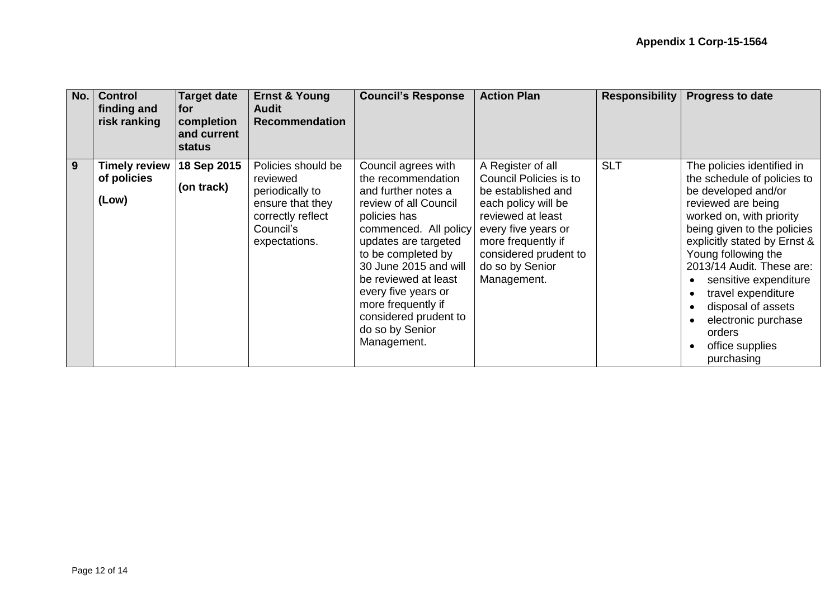| No. | <b>Control</b><br>finding and<br>risk ranking | <b>Target date</b><br><b>for</b><br>completion<br>and current<br>status | <b>Ernst &amp; Young</b><br><b>Audit</b><br><b>Recommendation</b>                                                        | <b>Council's Response</b>                                                                                                                                                                                                                                                                                                                 | <b>Action Plan</b>                                                                                                                                                                                                           | <b>Responsibility</b> | <b>Progress to date</b>                                                                                                                                                                                                                                                                                                                                                                      |
|-----|-----------------------------------------------|-------------------------------------------------------------------------|--------------------------------------------------------------------------------------------------------------------------|-------------------------------------------------------------------------------------------------------------------------------------------------------------------------------------------------------------------------------------------------------------------------------------------------------------------------------------------|------------------------------------------------------------------------------------------------------------------------------------------------------------------------------------------------------------------------------|-----------------------|----------------------------------------------------------------------------------------------------------------------------------------------------------------------------------------------------------------------------------------------------------------------------------------------------------------------------------------------------------------------------------------------|
| 9   | <b>Timely review</b><br>of policies<br>(Low)  | 18 Sep 2015<br>(on track)                                               | Policies should be<br>reviewed<br>periodically to<br>ensure that they<br>correctly reflect<br>Council's<br>expectations. | Council agrees with<br>the recommendation<br>and further notes a<br>review of all Council<br>policies has<br>commenced. All policy<br>updates are targeted<br>to be completed by<br>30 June 2015 and will<br>be reviewed at least<br>every five years or<br>more frequently if<br>considered prudent to<br>do so by Senior<br>Management. | A Register of all<br><b>Council Policies is to</b><br>be established and<br>each policy will be<br>reviewed at least<br>every five years or<br>more frequently if<br>considered prudent to<br>do so by Senior<br>Management. | <b>SLT</b>            | The policies identified in<br>the schedule of policies to<br>be developed and/or<br>reviewed are being<br>worked on, with priority<br>being given to the policies<br>explicitly stated by Ernst &<br>Young following the<br>2013/14 Audit. These are:<br>sensitive expenditure<br>travel expenditure<br>disposal of assets<br>electronic purchase<br>orders<br>office supplies<br>purchasing |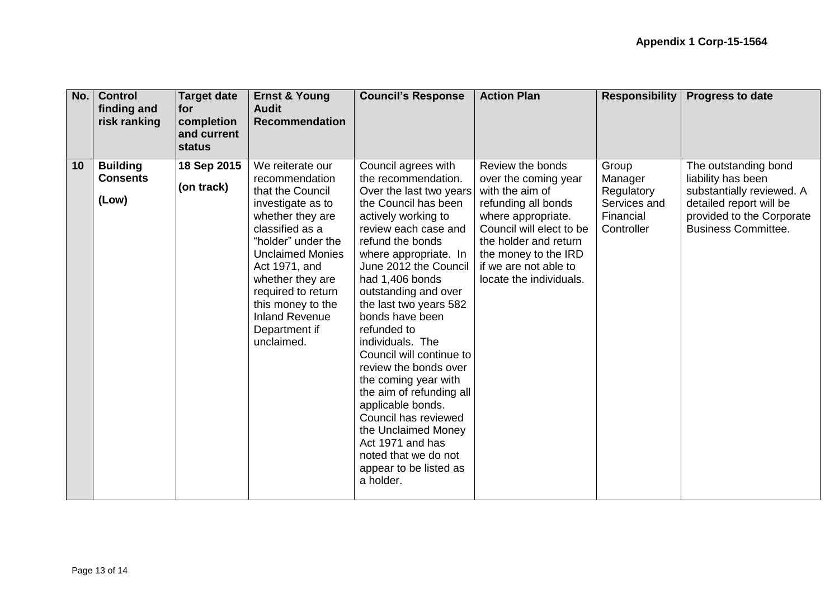| No. | <b>Control</b><br>finding and<br>risk ranking | <b>Target date</b><br><b>for</b><br>completion<br>and current<br>status | <b>Ernst &amp; Young</b><br><b>Audit</b><br><b>Recommendation</b>                                                                                                                                                                                                                                           | <b>Council's Response</b>                                                                                                                                                                                                                                                                                                                                                                                                                                                                                                                                                                                     | <b>Action Plan</b>                                                                                                                                                                                                                        | <b>Responsibility</b>                                                     | <b>Progress to date</b>                                                                                                                                       |
|-----|-----------------------------------------------|-------------------------------------------------------------------------|-------------------------------------------------------------------------------------------------------------------------------------------------------------------------------------------------------------------------------------------------------------------------------------------------------------|---------------------------------------------------------------------------------------------------------------------------------------------------------------------------------------------------------------------------------------------------------------------------------------------------------------------------------------------------------------------------------------------------------------------------------------------------------------------------------------------------------------------------------------------------------------------------------------------------------------|-------------------------------------------------------------------------------------------------------------------------------------------------------------------------------------------------------------------------------------------|---------------------------------------------------------------------------|---------------------------------------------------------------------------------------------------------------------------------------------------------------|
| 10  | <b>Building</b><br><b>Consents</b><br>(Low)   | 18 Sep 2015<br>(on track)                                               | We reiterate our<br>recommendation<br>that the Council<br>investigate as to<br>whether they are<br>classified as a<br>"holder" under the<br><b>Unclaimed Monies</b><br>Act 1971, and<br>whether they are<br>required to return<br>this money to the<br><b>Inland Revenue</b><br>Department if<br>unclaimed. | Council agrees with<br>the recommendation.<br>Over the last two years<br>the Council has been<br>actively working to<br>review each case and<br>refund the bonds<br>where appropriate. In<br>June 2012 the Council<br>had 1,406 bonds<br>outstanding and over<br>the last two years 582<br>bonds have been<br>refunded to<br>individuals. The<br>Council will continue to<br>review the bonds over<br>the coming year with<br>the aim of refunding all<br>applicable bonds.<br>Council has reviewed<br>the Unclaimed Money<br>Act 1971 and has<br>noted that we do not<br>appear to be listed as<br>a holder. | Review the bonds<br>over the coming year<br>with the aim of<br>refunding all bonds<br>where appropriate.<br>Council will elect to be<br>the holder and return<br>the money to the IRD<br>if we are not able to<br>locate the individuals. | Group<br>Manager<br>Regulatory<br>Services and<br>Financial<br>Controller | The outstanding bond<br>liability has been<br>substantially reviewed. A<br>detailed report will be<br>provided to the Corporate<br><b>Business Committee.</b> |